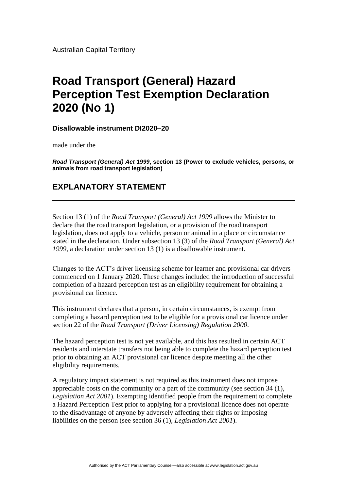Australian Capital Territory

# **Road Transport (General) Hazard Perception Test Exemption Declaration 2020 (No 1)**

#### **Disallowable instrument DI2020–20**

made under the

*Road Transport (General) Act 1999***, section 13 (Power to exclude vehicles, persons, or animals from road transport legislation)**

## **EXPLANATORY STATEMENT**

Section 13 (1) of the *Road Transport (General) Act 1999* allows the Minister to declare that the road transport legislation, or a provision of the road transport legislation, does not apply to a vehicle, person or animal in a place or circumstance stated in the declaration. Under subsection 13 (3) of the *Road Transport (General) Act 1999*, a declaration under section 13 (1) is a disallowable instrument.

Changes to the ACT's driver licensing scheme for learner and provisional car drivers commenced on 1 January 2020. These changes included the introduction of successful completion of a hazard perception test as an eligibility requirement for obtaining a provisional car licence.

This instrument declares that a person, in certain circumstances, is exempt from completing a hazard perception test to be eligible for a provisional car licence under section 22 of the *Road Transport (Driver Licensing) Regulation 2000*.

The hazard perception test is not yet available, and this has resulted in certain ACT residents and interstate transfers not being able to complete the hazard perception test prior to obtaining an ACT provisional car licence despite meeting all the other eligibility requirements.

A regulatory impact statement is not required as this instrument does not impose appreciable costs on the community or a part of the community (see section 34 (1), *Legislation Act 2001*). Exempting identified people from the requirement to complete a Hazard Perception Test prior to applying for a provisional licence does not operate to the disadvantage of anyone by adversely affecting their rights or imposing liabilities on the person (see section 36 (1), *Legislation Act 2001*).